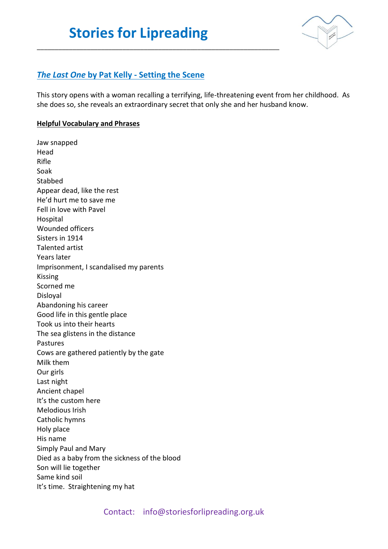\_\_\_\_\_\_\_\_\_\_\_\_\_\_\_\_\_\_\_\_\_\_\_\_\_\_\_\_\_\_\_\_\_\_\_\_\_\_\_\_\_\_\_\_\_\_\_\_\_\_\_\_\_\_\_\_\_\_\_\_\_\_\_\_\_\_\_\_



## *The Last One* **by Pat Kelly - Setting the Scene**

This story opens with a woman recalling a terrifying, life-threatening event from her childhood. As she does so, she reveals an extraordinary secret that only she and her husband know.

## **Helpful Vocabulary and Phrases**

Jaw snapped Head Rifle Soak **Stabbed** Appear dead, like the rest He'd hurt me to save me Fell in love with Pavel Hospital Wounded officers Sisters in 1914 Talented artist Years later Imprisonment, I scandalised my parents Kissing Scorned me Disloyal Abandoning his career Good life in this gentle place Took us into their hearts The sea glistens in the distance Pastures Cows are gathered patiently by the gate Milk them Our girls Last night Ancient chapel It's the custom here Melodious Irish Catholic hymns Holy place His name Simply Paul and Mary Died as a baby from the sickness of the blood Son will lie together Same kind soil It's time. Straightening my hat